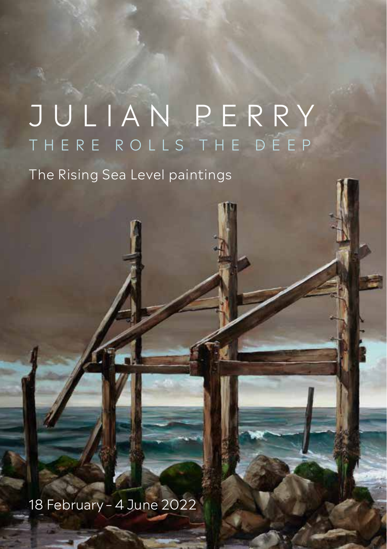# JULIAN PERRY THERE ROLLS THE DEEP

The Rising Sea Level paintings

18 February – 4 June 2022